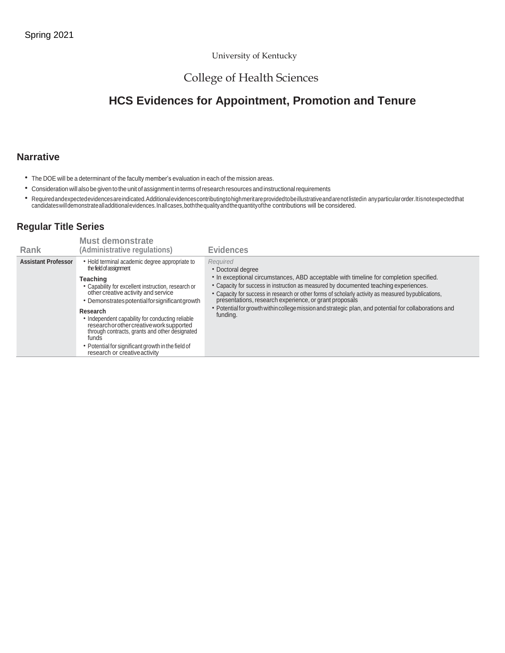#### University of Kentucky

# College of Health Sciences

# **HCS Evidences for Appointment, Promotion and Tenure**

#### **Narrative**

- The DOE will be a determinant of the faculty member's evaluation in each of the mission areas.
- Consideration will also be given to the unitofassignment in terms ofresearch resources and instructionalrequirements
- Required and expected evidences are indicated. Additional evidences contributing to high meritare provided to be illustrative and are not listed in any particular order. It is notexpected that<br>candidates will demonstrate

# **Regular Title Series**

| Rank                       | <b>Must demonstrate</b><br>(Administrative regulations)                                                                                                                                                                                                                                                                                                                                                                                                                                               | <b>Evidences</b>                                                                                                                                                                                                                                                                                                                                                                                                                                                                                         |
|----------------------------|-------------------------------------------------------------------------------------------------------------------------------------------------------------------------------------------------------------------------------------------------------------------------------------------------------------------------------------------------------------------------------------------------------------------------------------------------------------------------------------------------------|----------------------------------------------------------------------------------------------------------------------------------------------------------------------------------------------------------------------------------------------------------------------------------------------------------------------------------------------------------------------------------------------------------------------------------------------------------------------------------------------------------|
| <b>Assistant Professor</b> | • Hold terminal academic degree appropriate to<br>the field of assignment<br>Teaching<br>• Capability for excellent instruction, research or<br>other creative activity and service<br>• Demonstrates potential for significant growth<br>Research<br>• Independent capability for conducting reliable<br>research or other creative work supported<br>through contracts, grants and other designated<br>funds<br>• Potential for significant growth in the field of<br>research or creative activity | Required<br>• Doctoral degree<br>• In exceptional circumstances, ABD acceptable with timeline for completion specified.<br>• Capacity for success in instruction as measured by documented teaching experiences.<br>• Capacity for success in research or other forms of scholarly activity as measured by publications,<br>presentations, research experience, or grant proposals<br>• Potential for growth within college mission and strategic plan, and potential for collaborations and<br>funding. |
|                            |                                                                                                                                                                                                                                                                                                                                                                                                                                                                                                       |                                                                                                                                                                                                                                                                                                                                                                                                                                                                                                          |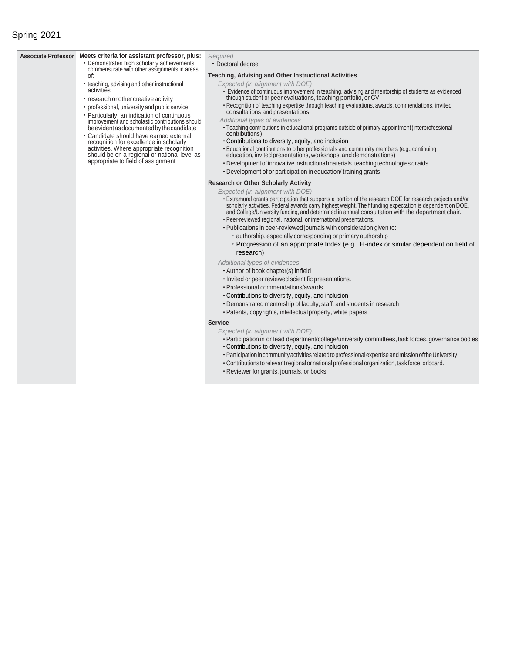### Spring 2021

#### **Associate Professor Meets criteria for assistant professor, plus:** • Demonstrates high scholarly achievements commensurate with other assignments in areas of: • teaching, advising and other instructional activities • research or other creative activity • professional, university and public service • Particularly, an indication of continuous improvement and scholastic contributions should be evident as documented by the candidate • Candidate should have earned external recognition for excellence in scholarly activities. Where appropriate recognition should be on a regional or national level as appropriate to field of assignment *Required* • Doctoral degree **Teaching, Advising and Other Instructional Activities** *Expected (in alignment with DOE)* • Evidence of continuous improvement in teaching, advising and mentorship of students as evidenced through student or peer evaluations, teaching portfolio, or CV •Recognition of teaching expertise through teaching evaluations, awards, commendations, invited consultations and presentations *Additional types of evidences* •Teaching contributions in educational programs outside of primary appointment(interprofessional contributions) •Contributions to diversity, equity, and inclusion •Educational contributions to other professionals and community members (e.g., continuing education, invited presentations,workshops, and demonstrations) • Development of innovative instructional materials, teaching technologies or aids •Development of or participation in education/ training grants **Research or Other Scholarly Activity** *Expected (in alignment with DOE)* •Extramural grants participation that supports a portion of the research DOE for research projects and/or scholarly activities. Federal awards carry highest weight. The f funding expectation is dependent on DOE, and College/University funding, and determined in annual consultation with the department chair. •Peer-reviewed regional, national, or international presentations. •Publications in peer-reviewed journals with consideration given to: • authorship, especially corresponding or primary authorship • Progression of an appropriate Index (e.g., H-index or similar dependent on field of research) *Additional types of evidences* •Author of book chapter(s) infield • Invited or peer reviewed scientific presentations. •Professional commendations/awards •Contributions to diversity, equity, and inclusion •Demonstrated mentorship of faculty, staff, and students in research •Patents, copyrights, intellectualproperty, white papers **Service** *Expected (in alignment with DOE)* •Participation in or lead department/college/university committees, task forces, governance bodies •Contributions to diversity, equity, and inclusion •ParticipationincommunityactivitiesrelatedtoprofessionalexpertiseandmissionoftheUniversity.

- 
- Contributions to relevant regional or national professional organization, task force, or board.
- •Reviewer for grants, journals, or books